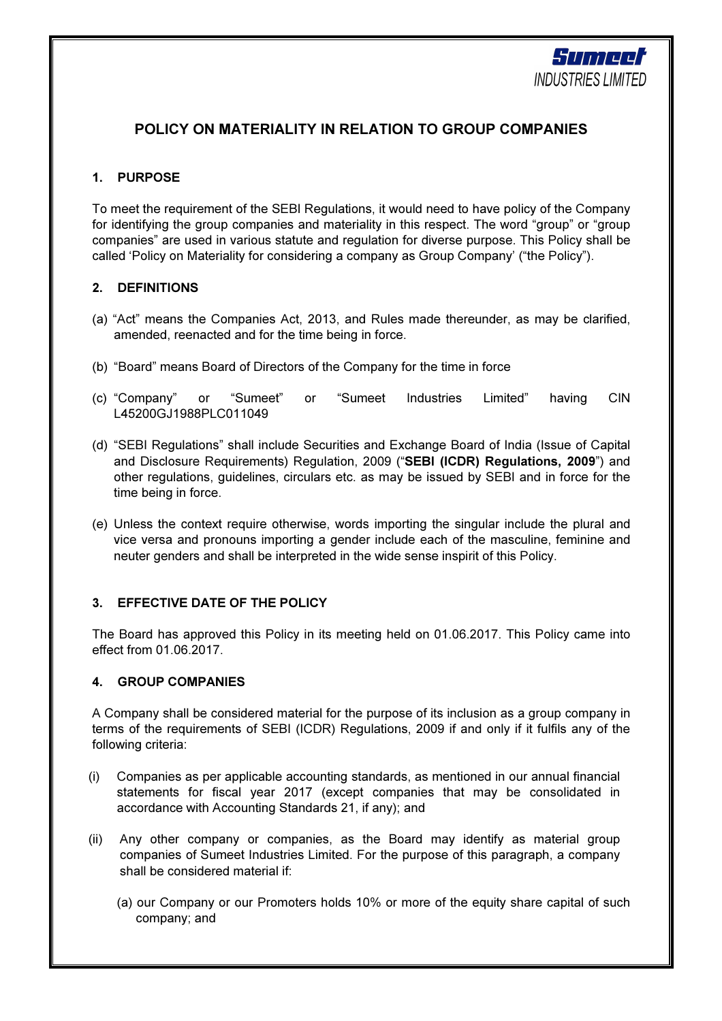

# POLICY ON MATERIALITY IN RELATION TO GROUP COMPANIES

### 1. PURPOSE

To meet the requirement of the SEBI Regulations, it would need to have policy of the Company for identifying the group companies and materiality in this respect. The word "group" or "group companies" are used in various statute and regulation for diverse purpose. This Policy shall be called 'Policy on Materiality for considering a company as Group Company' ("the Policy").

### 2. DEFINITIONS

- (a) "Act" means the Companies Act, 2013, and Rules made thereunder, as may be clarified, amended, reenacted and for the time being in force.
- (b) "Board" means Board of Directors of the Company for the time in force
- (c) "Company" or "Sumeet" or "Sumeet Industries Limited" having CIN L45200GJ1988PLC011049
- (d) "SEBI Regulations" shall include Securities and Exchange Board of India (Issue of Capital and Disclosure Requirements) Regulation, 2009 ("SEBI (ICDR) Regulations, 2009") and other regulations, guidelines, circulars etc. as may be issued by SEBI and in force for the time being in force.
- (e) Unless the context require otherwise, words importing the singular include the plural and vice versa and pronouns importing a gender include each of the masculine, feminine and neuter genders and shall be interpreted in the wide sense inspirit of this Policy.

## 3. EFFECTIVE DATE OF THE POLICY

The Board has approved this Policy in its meeting held on 01.06.2017. This Policy came into effect from 01.06.2017.

#### 4. GROUP COMPANIES

A Company shall be considered material for the purpose of its inclusion as a group company in terms of the requirements of SEBI (ICDR) Regulations, 2009 if and only if it fulfils any of the following criteria:

- (i) Companies as per applicable accounting standards, as mentioned in our annual financial statements for fiscal year 2017 (except companies that may be consolidated in accordance with Accounting Standards 21, if any); and
- (ii) Any other company or companies, as the Board may identify as material group companies of Sumeet Industries Limited. For the purpose of this paragraph, a company shall be considered material if:
	- (a) our Company or our Promoters holds 10% or more of the equity share capital of such company; and